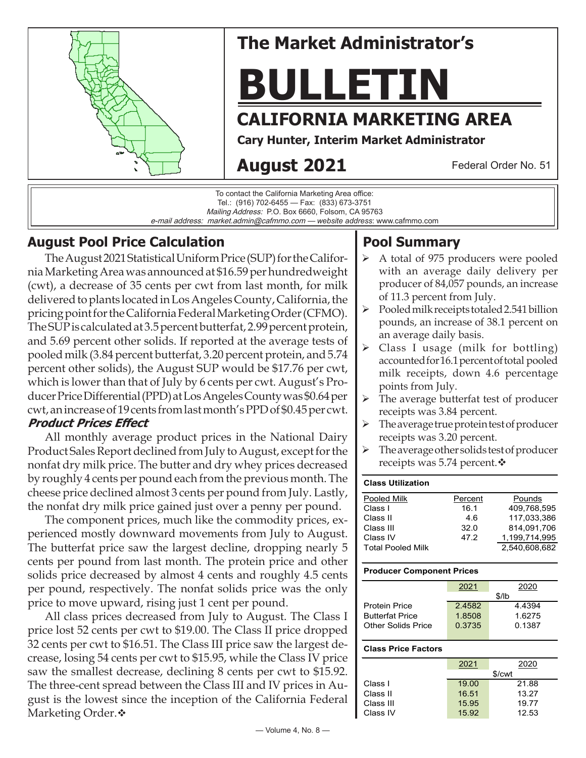

# **The Market Administrator's**

# **BULLETIN**

# **CALIFORNIA MARKETING AREA**

**Cary Hunter, Interim Market Administrator**

# **August 2021**

Federal Order No. 51

To contact the California Marketing Area office: Tel.: (916) 702-6455 — Fax: (833) 673-3751 Mailing Address: P.O. Box 6660, Folsom, CA 95763 e-mail address: market.admin@cafmmo.com — *website address*: www.cafmmo.com

## **August Pool Price Calculation**

The August 2021 Statistical Uniform Price (SUP) for the California Marketing Area was announced at \$16.59 per hundredweight (cwt), a decrease of 35 cents per cwt from last month, for milk delivered to plants located in Los Angeles County, California, the pricing point for the California Federal Marketing Order (CFMO). The SUP is calculated at 3.5 percent butterfat, 2.99 percent protein, and 5.69 percent other solids. If reported at the average tests of pooled milk (3.84 percent butterfat, 3.20 percent protein, and 5.74 percent other solids), the August SUP would be \$17.76 per cwt, which is lower than that of July by 6 cents per cwt. August's Producer Price Differential (PPD) at Los Angeles County was \$0.64 per cwt, an increase of 19 cents from last month's PPD of \$0.45 per cwt. **Product Prices Effect** 

All monthly average product prices in the National Dairy Product Sales Report declined from July to August, except for the nonfat dry milk price. The butter and dry whey prices decreased by roughly 4 cents per pound each from the previous month. The cheese price declined almost 3 cents per pound from July. Lastly, the nonfat dry milk price gained just over a penny per pound.

The component prices, much like the commodity prices, experienced mostly downward movements from July to August. The butterfat price saw the largest decline, dropping nearly 5 cents per pound from last month. The protein price and other solids price decreased by almost 4 cents and roughly 4.5 cents per pound, respectively. The nonfat solids price was the only price to move upward, rising just 1 cent per pound.

All class prices decreased from July to August. The Class I price lost 52 cents per cwt to \$19.00. The Class II price dropped 32 cents per cwt to \$16.51. The Class III price saw the largest decrease, losing 54 cents per cwt to \$15.95, while the Class IV price saw the smallest decrease, declining 8 cents per cwt to \$15.92. The three-cent spread between the Class III and IV prices in August is the lowest since the inception of the California Federal Marketing Order. $\cdot$ 

## **Pool Summary**

- $\triangleright$  A total of 975 producers were pooled with an average daily delivery per producer of 84,057 pounds, an increase of 11.3 percent from July.
- $\triangleright$  Pooled milk receipts totaled 2.541 billion pounds, an increase of 38.1 percent on an average daily basis.
- $\triangleright$  Class I usage (milk for bottling) accounted for 16.1 percent of total pooled milk receipts, down 4.6 percentage points from July.
- $\triangleright$  The average butterfat test of producer receipts was 3.84 percent.
- $\triangleright$  The average true protein test of producer receipts was 3.20 percent.
- $\triangleright$  The average other solids test of producer receipts was 5.74 percent. $\mathbf{\hat{v}}$

#### **Class Utilization** Pooled Milk **Percent** Pounds<br>Class I 16.1 409.768. 16.1 409,768,595 Class II 4.6 117,033,386 Class III 32.0 814,091,706 Class IV 47.2 1,199,714,995 Total Pooled Milk 2,540,608,682

#### **Producer Component Prices**

|                        | 2021   | 2020      |  |  |
|------------------------|--------|-----------|--|--|
|                        | \$/lb  |           |  |  |
| <b>Protein Price</b>   | 24582  | 4 4 3 9 4 |  |  |
| <b>Butterfat Price</b> | 1.8508 | 1.6275    |  |  |
| Other Solids Price     | 0.3735 | 0.1387    |  |  |
|                        |        |           |  |  |

#### **Class Price Factors**

|           | 2021   | 2020  |  |  |
|-----------|--------|-------|--|--|
|           | \$/cwt |       |  |  |
| Class I   | 19.00  | 21.88 |  |  |
| Class II  | 16.51  | 13.27 |  |  |
| Class III | 15.95  | 19.77 |  |  |
| Class IV  | 15.92  | 12.53 |  |  |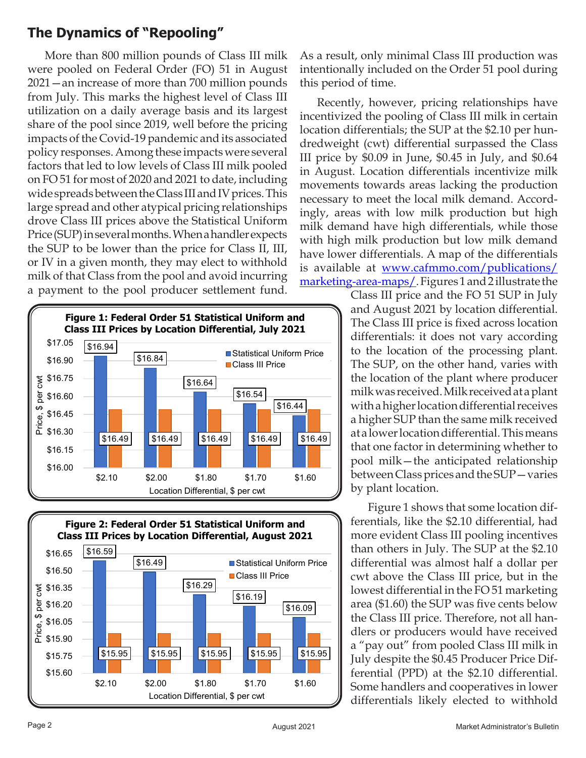## **The Dynamics of "Repooling"**

More than 800 million pounds of Class III milk were pooled on Federal Order (FO) 51 in August 2021—an increase of more than 700 million pounds from July. This marks the highest level of Class III utilization on a daily average basis and its largest share of the pool since 2019, well before the pricing impacts of the Covid-19 pandemic and its associated policy responses. Among these impacts were several factors that led to low levels of Class III milk pooled on FO 51 for most of 2020 and 2021 to date, including wide spreads between the Class III and IV prices. This large spread and other atypical pricing relationships drove Class III prices above the Statistical Uniform Price (SUP) in several months. When a handler expects the SUP to be lower than the price for Class II, III, or IV in a given month, they may elect to withhold milk of that Class from the pool and avoid incurring a payment to the pool producer settlement fund.





As a result, only minimal Class III production was intentionally included on the Order 51 pool during this period of time.

Recently, however, pricing relationships have incentivized the pooling of Class III milk in certain location differentials; the SUP at the \$2.10 per hundredweight (cwt) differential surpassed the Class III price by \$0.09 in June, \$0.45 in July, and \$0.64 in August. Location differentials incentivize milk movements towards areas lacking the production necessary to meet the local milk demand. Accordingly, areas with low milk production but high milk demand have high differentials, while those with high milk production but low milk demand have lower differentials. A map of the differentials is available at www.cafmmo.com/publications/ [marketing-area-maps/. Figures 1 and 2 illustrate the](https://www.cafmmo.com/publications/marketing-area-maps/) 

> Class III price and the FO 51 SUP in July and August 2021 by location differential. The Class III price is fixed across location differentials: it does not vary according to the location of the processing plant. The SUP, on the other hand, varies with the location of the plant where producer milk was received. Milk received at a plant with a higher location differential receives a higher SUP than the same milk received at a lower location differential. This means that one factor in determining whether to pool milk—the anticipated relationship between Class prices and the SUP—varies by plant location.

> Figure 1 shows that some location differentials, like the \$2.10 differential, had more evident Class III pooling incentives than others in July. The SUP at the \$2.10 differential was almost half a dollar per cwt above the Class III price, but in the lowest differential in the FO 51 marketing area (\$1.60) the SUP was five cents below the Class III price. Therefore, not all handlers or producers would have received a "pay out" from pooled Class III milk in July despite the \$0.45 Producer Price Differential (PPD) at the \$2.10 differential. Some handlers and cooperatives in lower differentials likely elected to withhold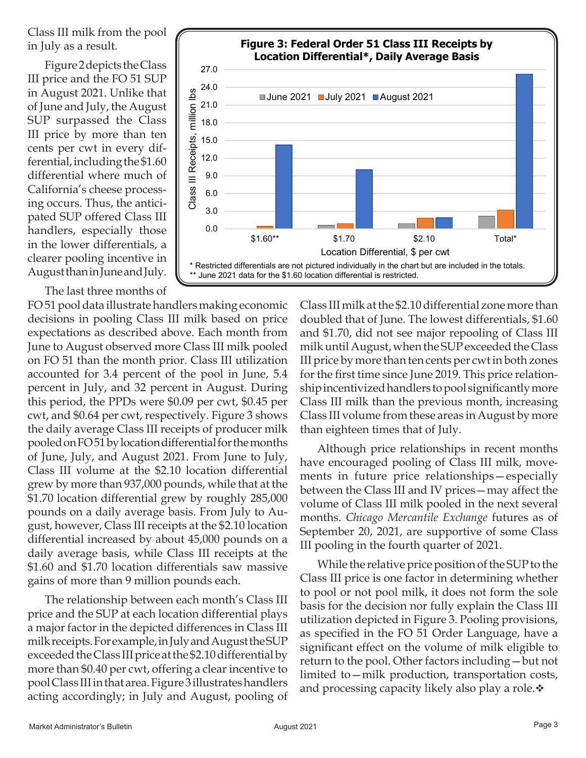Class III milk from the pool in July as a result.

Figure 2 depicts the Class III price and the FO 51 SUP in August 2021. Unlike that of June and July, the August SUP surpassed the Class III price by more than ten cents per cwt in every differential, including the \$1.60 differential where much of California's cheese processing occurs. Thus, the anticipated SUP offered Class III handlers, especially those in the lower differentials, a clearer pooling incentive in August than in June and July.

The last three months of



FO 51 pool data illustrate handlers making economic decisions in pooling Class III milk based on price expectations as described above. Each month from June to August observed more Class III milk pooled on FO 51 than the month prior. Class III utilization accounted for 3.4 percent of the pool in June, 5.4 percent in July, and 32 percent in August. During this period, the PPDs were \$0.09 per cwt, \$0.45 per cwt, and \$0.64 per cwt, respectively. Figure 3 shows the daily average Class III receipts of producer milk pooled on FO 51 by location differential for the months of June, July, and August 2021. From June to July, Class III volume at the \$2.10 location differential grew by more than 937,000 pounds, while that at the \$1.70 location differential grew by roughly 285,000 pounds on a daily average basis. From July to August, however, Class III receipts at the \$2.10 location differential increased by about 45,000 pounds on a daily average basis, while Class III receipts at the \$1.60 and \$1.70 location differentials saw massive gains of more than 9 million pounds each.

The relationship between each month's Class III price and the SUP at each location differential plays a major factor in the depicted differences in Class III milk receipts. For example, in July and August the SUP exceeded the Class III price at the \$2.10 differential by more than \$0.40 per cwt, offering a clear incentive to pool Class III in that area. Figure 3 illustrates handlers acting accordingly; in July and August, pooling of

Class III milk at the \$2.10 differential zone more than doubled that of June. The lowest differentials, \$1.60 and \$1.70, did not see major repooling of Class III milk until August, when the SUP exceeded the Class III price by more than ten cents per cwt in both zones for the first time since June 2019. This price relationship incentivized handlers to pool significantly more Class III milk than the previous month, increasing Class III volume from these areas in August by more than eighteen times that of July.

Although price relationships in recent months have encouraged pooling of Class III milk, movements in future price relationships—especially between the Class III and IV prices—may affect the volume of Class III milk pooled in the next several months. *Chicago Mercantile Exchange* futures as of September 20, 2021, are supportive of some Class III pooling in the fourth quarter of 2021.

While the relative price position of the SUP to the Class III price is one factor in determining whether to pool or not pool milk, it does not form the sole basis for the decision nor fully explain the Class III utilization depicted in Figure 3. Pooling provisions, as specified in the FO 51 Order Language, have a significant effect on the volume of milk eligible to return to the pool. Other factors including—but not limited to—milk production, transportation costs, and processing capacity likely also play a role. $\ddot{\mathbf{v}}$